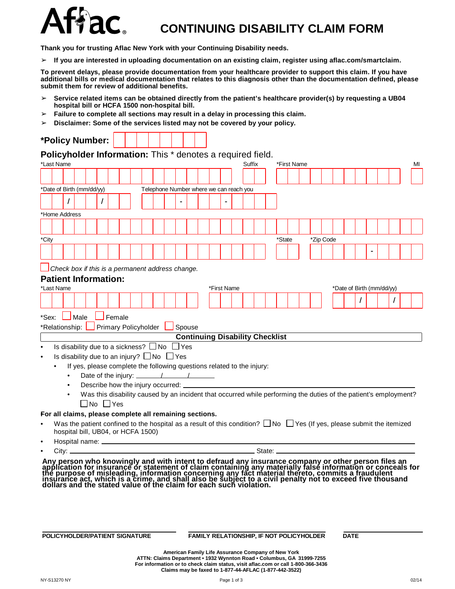

## **CONTINUING DISABILITY CLAIM FORM**

**Thank you for trusting Aflac New York with your Continuing Disability needs.**

➢ **If you are interested in uploading documentation on an existing claim, register using aflac.com/smartclaim.**

To prevent delays, please provide documentation from your healthcare provider to support this claim. If you have additional bills or medical documentation that relates to this diagnosis other than the documentation defined, please **submit them for review of additional benefits.**

- ➢ **Service related items can be obtained directly from the patient's healthcare provider(s) by requesting a UB04 hospital bill or HCFA 1500 non-hospital bill.**
- ➢ **Failure to complete all sections may result in a delay in processing this claim.**
- ➢ **Disclaimer: Some of the services listed may not be covered by your policy.**

| *Policy Number:<br>Policyholder Information: This * denotes a required field.<br>*Last Name<br>Suffix<br>*First Name<br>*Date of Birth (mm/dd/yy)<br>Telephone Number where we can reach you<br>T |               |                                                      |              |        |  |                             |  |            |                                                                             |             |                                                                                                                                  |        |  |           |  |                           |  |  |  |
|---------------------------------------------------------------------------------------------------------------------------------------------------------------------------------------------------|---------------|------------------------------------------------------|--------------|--------|--|-----------------------------|--|------------|-----------------------------------------------------------------------------|-------------|----------------------------------------------------------------------------------------------------------------------------------|--------|--|-----------|--|---------------------------|--|--|--|
|                                                                                                                                                                                                   |               |                                                      |              |        |  |                             |  |            |                                                                             |             |                                                                                                                                  |        |  |           |  |                           |  |  |  |
|                                                                                                                                                                                                   |               |                                                      |              |        |  |                             |  |            |                                                                             |             |                                                                                                                                  |        |  |           |  |                           |  |  |  |
|                                                                                                                                                                                                   |               |                                                      |              |        |  |                             |  |            |                                                                             |             |                                                                                                                                  |        |  |           |  |                           |  |  |  |
|                                                                                                                                                                                                   |               |                                                      |              |        |  |                             |  |            |                                                                             |             |                                                                                                                                  |        |  |           |  |                           |  |  |  |
|                                                                                                                                                                                                   |               |                                                      |              |        |  |                             |  |            |                                                                             |             |                                                                                                                                  |        |  |           |  |                           |  |  |  |
|                                                                                                                                                                                                   | *Home Address |                                                      |              |        |  |                             |  |            |                                                                             |             |                                                                                                                                  |        |  |           |  |                           |  |  |  |
|                                                                                                                                                                                                   |               |                                                      |              |        |  |                             |  |            |                                                                             |             |                                                                                                                                  |        |  |           |  |                           |  |  |  |
| *City                                                                                                                                                                                             |               |                                                      |              |        |  |                             |  |            |                                                                             |             |                                                                                                                                  | *State |  | *Zip Code |  |                           |  |  |  |
|                                                                                                                                                                                                   |               |                                                      |              |        |  |                             |  |            |                                                                             |             |                                                                                                                                  |        |  |           |  |                           |  |  |  |
|                                                                                                                                                                                                   |               |                                                      |              |        |  |                             |  |            |                                                                             |             |                                                                                                                                  |        |  |           |  |                           |  |  |  |
|                                                                                                                                                                                                   |               | Check box if this is a permanent address change.     |              |        |  |                             |  |            |                                                                             |             |                                                                                                                                  |        |  |           |  |                           |  |  |  |
|                                                                                                                                                                                                   |               | <b>Patient Information:</b>                          |              |        |  |                             |  |            |                                                                             |             |                                                                                                                                  |        |  |           |  |                           |  |  |  |
| *Last Name                                                                                                                                                                                        |               |                                                      |              |        |  |                             |  |            |                                                                             | *First Name |                                                                                                                                  |        |  |           |  | *Date of Birth (mm/dd/yy) |  |  |  |
|                                                                                                                                                                                                   |               |                                                      |              |        |  |                             |  |            |                                                                             |             |                                                                                                                                  |        |  |           |  |                           |  |  |  |
| *Sex:                                                                                                                                                                                             |               | Male                                                 |              | Female |  |                             |  |            |                                                                             |             |                                                                                                                                  |        |  |           |  |                           |  |  |  |
|                                                                                                                                                                                                   |               | *Relationship:                                       |              |        |  | <b>Primary Policyholder</b> |  | Spouse     |                                                                             |             |                                                                                                                                  |        |  |           |  |                           |  |  |  |
|                                                                                                                                                                                                   |               |                                                      |              |        |  |                             |  |            |                                                                             |             | <b>Continuing Disability Checklist</b>                                                                                           |        |  |           |  |                           |  |  |  |
|                                                                                                                                                                                                   |               | Is disability due to a sickness? $\Box$ No           |              |        |  |                             |  | $\Box$ Yes |                                                                             |             |                                                                                                                                  |        |  |           |  |                           |  |  |  |
|                                                                                                                                                                                                   |               | Is disability due to an injury? $\Box$ No $\Box$ Yes |              |        |  |                             |  |            |                                                                             |             |                                                                                                                                  |        |  |           |  |                           |  |  |  |
|                                                                                                                                                                                                   |               |                                                      |              |        |  |                             |  |            |                                                                             |             | If yes, please complete the following questions related to the injury:                                                           |        |  |           |  |                           |  |  |  |
|                                                                                                                                                                                                   | $\bullet$     |                                                      |              |        |  |                             |  |            | Date of the injury: $\angle$<br>Describe how the injury occurred: _________ |             |                                                                                                                                  |        |  |           |  |                           |  |  |  |
|                                                                                                                                                                                                   |               |                                                      |              |        |  |                             |  |            |                                                                             |             | Was this disability caused by an incident that occurred while performing the duties of the patient's employment?                 |        |  |           |  |                           |  |  |  |
|                                                                                                                                                                                                   |               |                                                      | l INo I IYes |        |  |                             |  |            |                                                                             |             |                                                                                                                                  |        |  |           |  |                           |  |  |  |
|                                                                                                                                                                                                   |               |                                                      |              |        |  |                             |  |            | For all claims, please complete all remaining sections.                     |             |                                                                                                                                  |        |  |           |  |                           |  |  |  |
|                                                                                                                                                                                                   |               |                                                      |              |        |  |                             |  |            |                                                                             |             | Was the patient confined to the hospital as a result of this condition? $\Box$ No $\Box$ Yes (If yes, please submit the itemized |        |  |           |  |                           |  |  |  |
|                                                                                                                                                                                                   |               | hospital bill, UB04, or HCFA 1500)                   |              |        |  |                             |  |            |                                                                             |             |                                                                                                                                  |        |  |           |  |                           |  |  |  |
|                                                                                                                                                                                                   |               |                                                      |              |        |  |                             |  |            |                                                                             |             |                                                                                                                                  |        |  |           |  |                           |  |  |  |
|                                                                                                                                                                                                   |               |                                                      |              |        |  |                             |  |            |                                                                             |             |                                                                                                                                  |        |  |           |  |                           |  |  |  |

## **POLICYHOLDER/PATIENT SIGNATURE FAMILY RELATIONSHIP, IF NOT POLICYHOLDER DATE**

**American Family Life Assurance Company of New York ATTN: Claims Department • 1932 Wynnton Road • Columbus, GA 31999-7255 For information or to check claim status, visit aflac.com or call 1-800-366-3436 Claims may be faxed to 1-877-44-AFLAC (1-877-442-3522)**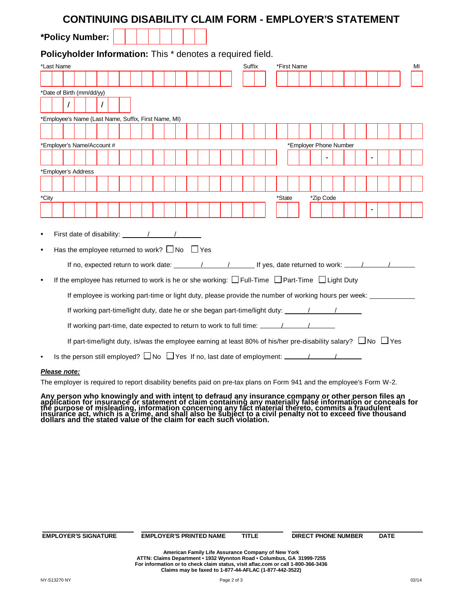|           |                           |  |                            |                                                         |  |  |  |  |  |        | <b>CONTINUING DISABILITY CLAIM FORM - EMPLOYER'S STATEMENT</b>                                                           |        |                        |  |                |  |                |  |    |
|-----------|---------------------------|--|----------------------------|---------------------------------------------------------|--|--|--|--|--|--------|--------------------------------------------------------------------------------------------------------------------------|--------|------------------------|--|----------------|--|----------------|--|----|
|           |                           |  | *Policy Number:            |                                                         |  |  |  |  |  |        |                                                                                                                          |        |                        |  |                |  |                |  |    |
|           |                           |  |                            |                                                         |  |  |  |  |  |        | Policyholder Information: This * denotes a required field.                                                               |        |                        |  |                |  |                |  |    |
|           | *Last Name                |  |                            |                                                         |  |  |  |  |  | Suffix |                                                                                                                          |        | *First Name            |  |                |  |                |  | МI |
|           |                           |  |                            |                                                         |  |  |  |  |  |        |                                                                                                                          |        |                        |  |                |  |                |  |    |
|           | *Date of Birth (mm/dd/yy) |  |                            |                                                         |  |  |  |  |  |        |                                                                                                                          |        |                        |  |                |  |                |  |    |
|           |                           |  |                            |                                                         |  |  |  |  |  |        |                                                                                                                          |        |                        |  |                |  |                |  |    |
|           |                           |  |                            | *Employee's Name (Last Name, Suffix, First Name, MI)    |  |  |  |  |  |        |                                                                                                                          |        |                        |  |                |  |                |  |    |
|           |                           |  |                            |                                                         |  |  |  |  |  |        |                                                                                                                          |        |                        |  |                |  |                |  |    |
|           |                           |  |                            |                                                         |  |  |  |  |  |        |                                                                                                                          |        |                        |  |                |  |                |  |    |
|           |                           |  | *Employer's Name/Account # |                                                         |  |  |  |  |  |        |                                                                                                                          |        | *Employer Phone Number |  |                |  |                |  |    |
|           |                           |  |                            |                                                         |  |  |  |  |  |        |                                                                                                                          |        |                        |  | $\blacksquare$ |  | $\blacksquare$ |  |    |
|           | *Employer's Address       |  |                            |                                                         |  |  |  |  |  |        |                                                                                                                          |        |                        |  |                |  |                |  |    |
|           |                           |  |                            |                                                         |  |  |  |  |  |        |                                                                                                                          |        |                        |  |                |  |                |  |    |
| *City     |                           |  |                            |                                                         |  |  |  |  |  |        |                                                                                                                          | *State |                        |  | *Zip Code      |  |                |  |    |
|           |                           |  |                            |                                                         |  |  |  |  |  |        |                                                                                                                          |        |                        |  |                |  |                |  |    |
|           |                           |  |                            |                                                         |  |  |  |  |  |        |                                                                                                                          |        |                        |  |                |  |                |  |    |
|           |                           |  |                            |                                                         |  |  |  |  |  |        |                                                                                                                          |        |                        |  |                |  |                |  |    |
| $\bullet$ |                           |  |                            |                                                         |  |  |  |  |  |        |                                                                                                                          |        |                        |  |                |  |                |  |    |
| $\bullet$ |                           |  |                            | Has the employee returned to work? $\Box$ No $\Box$ Yes |  |  |  |  |  |        |                                                                                                                          |        |                        |  |                |  |                |  |    |
|           |                           |  |                            |                                                         |  |  |  |  |  |        |                                                                                                                          |        |                        |  |                |  |                |  |    |
| $\bullet$ |                           |  |                            |                                                         |  |  |  |  |  |        | If the employee has returned to work is he or she working: $\Box$ Full-Time $\Box$ Part-Time $\Box$ Light Duty           |        |                        |  |                |  |                |  |    |
|           |                           |  |                            |                                                         |  |  |  |  |  |        | If employee is working part-time or light duty, please provide the number of working hours per week:                     |        |                        |  |                |  |                |  |    |
|           |                           |  |                            |                                                         |  |  |  |  |  |        |                                                                                                                          |        |                        |  |                |  |                |  |    |
|           |                           |  |                            |                                                         |  |  |  |  |  |        | If working part-time/light duty, date he or she began part-time/light duty: __________________________________           |        |                        |  |                |  |                |  |    |
|           |                           |  |                            |                                                         |  |  |  |  |  |        |                                                                                                                          |        |                        |  |                |  |                |  |    |
|           |                           |  |                            |                                                         |  |  |  |  |  |        | If part-time/light duty, is/was the employee earning at least 80% of his/her pre-disability salary? $\Box$ No $\Box$ Yes |        |                        |  |                |  |                |  |    |
|           |                           |  |                            |                                                         |  |  |  |  |  |        |                                                                                                                          |        |                        |  |                |  |                |  |    |
|           |                           |  |                            |                                                         |  |  |  |  |  |        |                                                                                                                          |        |                        |  |                |  |                |  |    |

## **Please note:**

The employer is required to report disability benefits paid on pre-tax plans on Form 941 and the employee's Form W-2.

Any person who knowingly and with intent to defraud any insurance company or other person files an<br>application for insurance or statement of claim containing any materially false information or conceals for<br>the purpose of

| <b>EMPLOYER'S SIGNATURE</b> | <b>EMPLOYER'S PRINTED NAME</b>                           | <b>TITLE</b> | <b>DIRECT PHONE NUMBER</b> | <b>DATE</b> |  |
|-----------------------------|----------------------------------------------------------|--------------|----------------------------|-------------|--|
|                             | American Panillo Hita Associación Asmosano et Naco Vento |              |                            |             |  |

American Family Life Assurance Company of New York<br>ATTN: Claims Department • 1932 Wynnton Road • Columbus, GA 31999-7255 **For information or to check claim status, visit aflac.com or call 1-800-366-3436 Claims may be faxed to 1-877-44-AFLAC (1-877-442-3522)**